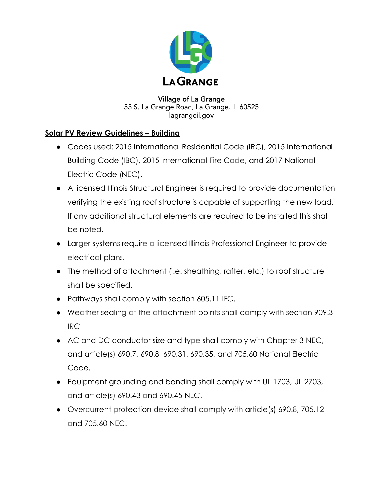

**Village of La Grange** 53 S. La Grange Road, La Grange, IL 60525 lagrangeil.gov

## **Solar PV Review Guidelines – Building**

- Codes used: 2015 International Residential Code (IRC), 2015 International Building Code (IBC), 2015 International Fire Code, and 2017 National Electric Code (NEC).
- A licensed Illinois Structural Engineer is required to provide documentation verifying the existing roof structure is capable of supporting the new load. If any additional structural elements are required to be installed this shall be noted.
- Larger systems require a licensed Illinois Professional Engineer to provide electrical plans.
- The method of attachment (i.e. sheathing, rafter, etc.) to roof structure shall be specified.
- Pathways shall comply with section 605.11 IFC.
- Weather sealing at the attachment points shall comply with section 909.3 IRC
- AC and DC conductor size and type shall comply with Chapter 3 NEC, and article(s) 690.7, 690.8, 690.31, 690.35, and 705.60 National Electric Code.
- Equipment grounding and bonding shall comply with UL 1703, UL 2703, and article(s) 690.43 and 690.45 NEC.
- Overcurrent protection device shall comply with article(s) 690.8, 705.12 and 705.60 NEC.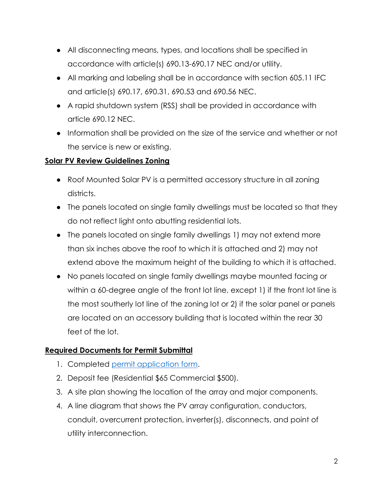- All disconnecting means, types, and locations shall be specified in accordance with article(s) 690.13-690.17 NEC and/or utility.
- All marking and labeling shall be in accordance with section 605.11 IFC and article(s) 690.17, 690.31, 690.53 and 690.56 NEC.
- A rapid shutdown system (RSS) shall be provided in accordance with article 690.12 NEC.
- Information shall be provided on the size of the service and whether or not the service is new or existing.

## **Solar PV Review Guidelines Zoning**

- Roof Mounted Solar PV is a permitted accessory structure in all zoning districts.
- The panels located on single family dwellings must be located so that they do not reflect light onto abutting residential lots.
- The panels located on single family dwellings 1) may not extend more than six inches above the roof to which it is attached and 2) may not extend above the maximum height of the building to which it is attached.
- No panels located on single family dwellings maybe mounted facing or within a 60-degree angle of the front lot line, except 1) if the front lot line is the most southerly lot line of the zoning lot or 2) if the solar panel or panels are located on an accessory building that is located within the rear 30 feet of the lot.

# **Required Documents for Permit Submittal**

- 1. Completed [permit application](http://www.villageoflagrange.com/DocumentCenter/Home/View/517) form.
- 2. Deposit fee (Residential \$65 Commercial \$500).
- 3. A site plan showing the location of the array and major components.
- 4. A line diagram that shows the PV array configuration, conductors, conduit, overcurrent protection, inverter(s), disconnects, and point of utility interconnection.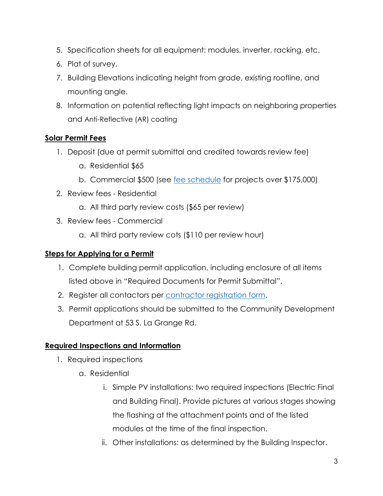- 5. Specification sheets for all equipment: modules, inverter, racking, etc.
- 6. Plat of survey.
- 7. Building Elevations indicating height from grade, existing roofline, and mounting angle.
- 8. Information on potential reflecting light impacts on neighboring properties and Anti-Reflective (AR) coating

## **Solar Permit Fees**

- 1. Deposit (due at permit submittal and credited towards review fee)
	- a. Residential \$65
	- b. Commercial \$500 (see [fee schedule](http://www.villageoflagrange.com/index.aspx?nid=112) for projects over \$175,000)
- 2. Review fees Residential
	- a. All third party review costs (\$65 per review)
- 3. Review fees Commercial
	- a. All third party review cots (\$110 per review hour)

### **Steps for Applying for a Permit**

- 1. Complete building permit application, including enclosure of all items listed above in "Required Documents for Permit Submittal".
- 2. Register all contactors per [contractor registration form.](http://www.villageoflagrange.com/DocumentCenter/Home/View/97)
- 3. Permit applications should be submitted to the Community Development Department at 53 S. La Grange Rd.

# **Required Inspections and Information**

- 1. Required inspections
	- a. Residential
		- i. Simple PV installations: two required inspections (Electric Final and Building Final). Provide pictures at various stages showing the flashing at the attachment points and of the listed modules at the time of the final inspection.
		- ii. Other installations: as determined by the Building Inspector.